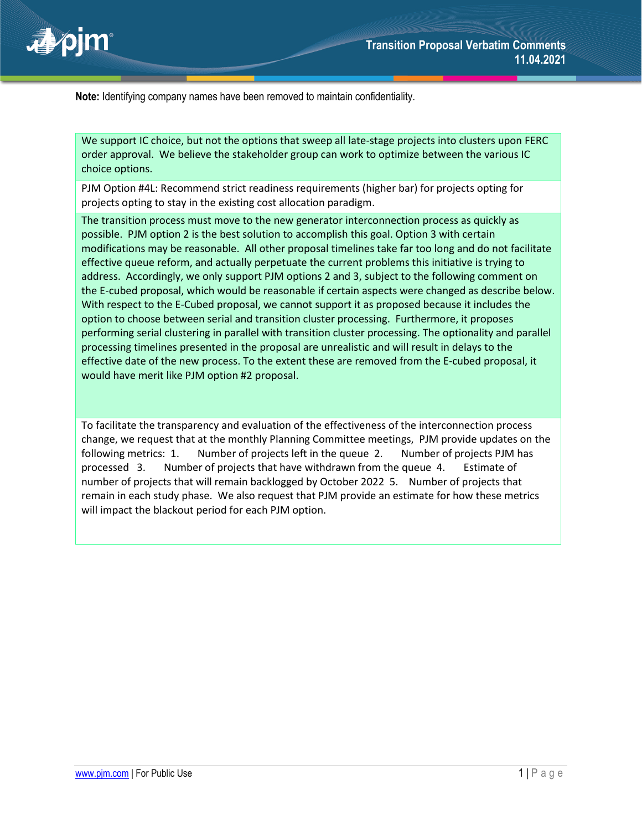

**Note:** Identifying company names have been removed to maintain confidentiality.

We support IC choice, but not the options that sweep all late-stage projects into clusters upon FERC order approval. We believe the stakeholder group can work to optimize between the various IC choice options.

PJM Option #4L: Recommend strict readiness requirements (higher bar) for projects opting for projects opting to stay in the existing cost allocation paradigm.

The transition process must move to the new generator interconnection process as quickly as possible. PJM option 2 is the best solution to accomplish this goal. Option 3 with certain modifications may be reasonable. All other proposal timelines take far too long and do not facilitate effective queue reform, and actually perpetuate the current problems this initiative is trying to address. Accordingly, we only support PJM options 2 and 3, subject to the following comment on the E-cubed proposal, which would be reasonable if certain aspects were changed as describe below. With respect to the E-Cubed proposal, we cannot support it as proposed because it includes the option to choose between serial and transition cluster processing. Furthermore, it proposes performing serial clustering in parallel with transition cluster processing. The optionality and parallel processing timelines presented in the proposal are unrealistic and will result in delays to the effective date of the new process. To the extent these are removed from the E-cubed proposal, it would have merit like PJM option #2 proposal.

To facilitate the transparency and evaluation of the effectiveness of the interconnection process change, we request that at the monthly Planning Committee meetings, PJM provide updates on the following metrics: 1. Number of projects left in the queue 2. Number of projects PJM has processed 3. Number of projects that have withdrawn from the queue 4. Estimate of number of projects that will remain backlogged by October 2022 5. Number of projects that remain in each study phase. We also request that PJM provide an estimate for how these metrics will impact the blackout period for each PJM option.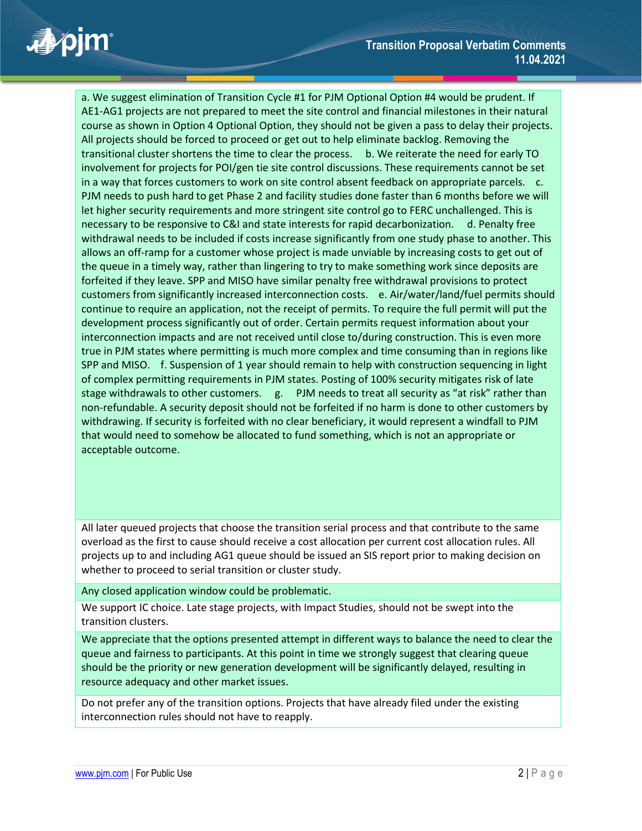a. We suggest elimination of Transition Cycle #1 for PJM Optional Option #4 would be prudent. If AE1-AG1 projects are not prepared to meet the site control and financial milestones in their natural course as shown in Option 4 Optional Option, they should not be given a pass to delay their projects. All projects should be forced to proceed or get out to help eliminate backlog. Removing the transitional cluster shortens the time to clear the process. b. We reiterate the need for early TO involvement for projects for POI/gen tie site control discussions. These requirements cannot be set in a way that forces customers to work on site control absent feedback on appropriate parcels. c. PJM needs to push hard to get Phase 2 and facility studies done faster than 6 months before we will let higher security requirements and more stringent site control go to FERC unchallenged. This is necessary to be responsive to C&I and state interests for rapid decarbonization. d. Penalty free withdrawal needs to be included if costs increase significantly from one study phase to another. This allows an off-ramp for a customer whose project is made unviable by increasing costs to get out of the queue in a timely way, rather than lingering to try to make something work since deposits are forfeited if they leave. SPP and MISO have similar penalty free withdrawal provisions to protect customers from significantly increased interconnection costs. e. Air/water/land/fuel permits should continue to require an application, not the receipt of permits. To require the full permit will put the development process significantly out of order. Certain permits request information about your interconnection impacts and are not received until close to/during construction. This is even more true in PJM states where permitting is much more complex and time consuming than in regions like SPP and MISO. f. Suspension of 1 year should remain to help with construction sequencing in light of complex permitting requirements in PJM states. Posting of 100% security mitigates risk of late stage withdrawals to other customers. g. PJM needs to treat all security as "at risk" rather than non-refundable. A security deposit should not be forfeited if no harm is done to other customers by withdrawing. If security is forfeited with no clear beneficiary, it would represent a windfall to PJM that would need to somehow be allocated to fund something, which is not an appropriate or acceptable outcome.

All later queued projects that choose the transition serial process and that contribute to the same overload as the first to cause should receive a cost allocation per current cost allocation rules. All projects up to and including AG1 queue should be issued an SIS report prior to making decision on whether to proceed to serial transition or cluster study.

Any closed application window could be problematic.

We support IC choice. Late stage projects, with Impact Studies, should not be swept into the transition clusters.

We appreciate that the options presented attempt in different ways to balance the need to clear the queue and fairness to participants. At this point in time we strongly suggest that clearing queue should be the priority or new generation development will be significantly delayed, resulting in resource adequacy and other market issues.

Do not prefer any of the transition options. Projects that have already filed under the existing interconnection rules should not have to reapply.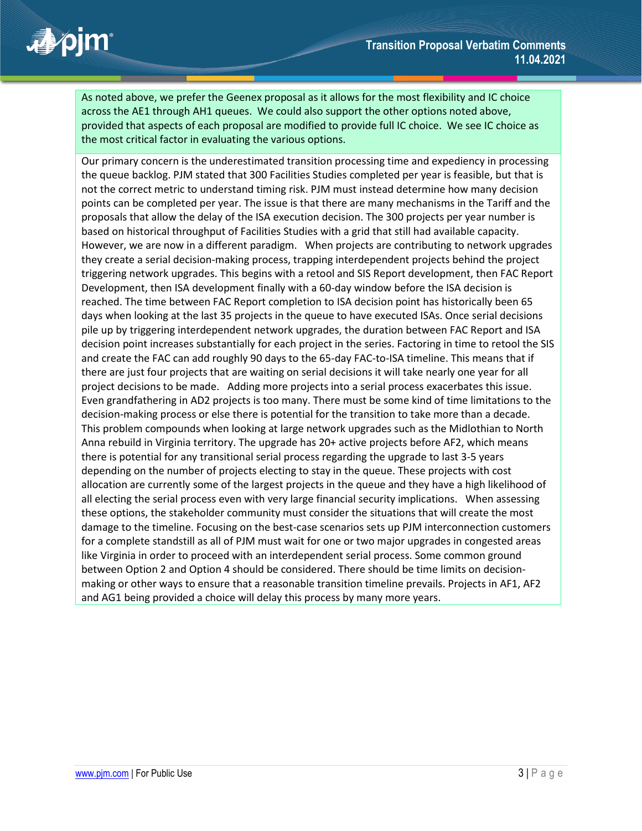As noted above, we prefer the Geenex proposal as it allows for the most flexibility and IC choice across the AE1 through AH1 queues. We could also support the other options noted above, provided that aspects of each proposal are modified to provide full IC choice. We see IC choice as the most critical factor in evaluating the various options.

Our primary concern is the underestimated transition processing time and expediency in processing the queue backlog. PJM stated that 300 Facilities Studies completed per year is feasible, but that is not the correct metric to understand timing risk. PJM must instead determine how many decision points can be completed per year. The issue is that there are many mechanisms in the Tariff and the proposals that allow the delay of the ISA execution decision. The 300 projects per year number is based on historical throughput of Facilities Studies with a grid that still had available capacity. However, we are now in a different paradigm. When projects are contributing to network upgrades they create a serial decision-making process, trapping interdependent projects behind the project triggering network upgrades. This begins with a retool and SIS Report development, then FAC Report Development, then ISA development finally with a 60-day window before the ISA decision is reached. The time between FAC Report completion to ISA decision point has historically been 65 days when looking at the last 35 projects in the queue to have executed ISAs. Once serial decisions pile up by triggering interdependent network upgrades, the duration between FAC Report and ISA decision point increases substantially for each project in the series. Factoring in time to retool the SIS and create the FAC can add roughly 90 days to the 65-day FAC-to-ISA timeline. This means that if there are just four projects that are waiting on serial decisions it will take nearly one year for all project decisions to be made. Adding more projects into a serial process exacerbates this issue. Even grandfathering in AD2 projects is too many. There must be some kind of time limitations to the decision-making process or else there is potential for the transition to take more than a decade. This problem compounds when looking at large network upgrades such as the Midlothian to North Anna rebuild in Virginia territory. The upgrade has 20+ active projects before AF2, which means there is potential for any transitional serial process regarding the upgrade to last 3-5 years depending on the number of projects electing to stay in the queue. These projects with cost allocation are currently some of the largest projects in the queue and they have a high likelihood of all electing the serial process even with very large financial security implications. When assessing these options, the stakeholder community must consider the situations that will create the most damage to the timeline. Focusing on the best-case scenarios sets up PJM interconnection customers for a complete standstill as all of PJM must wait for one or two major upgrades in congested areas like Virginia in order to proceed with an interdependent serial process. Some common ground between Option 2 and Option 4 should be considered. There should be time limits on decisionmaking or other ways to ensure that a reasonable transition timeline prevails. Projects in AF1, AF2 and AG1 being provided a choice will delay this process by many more years.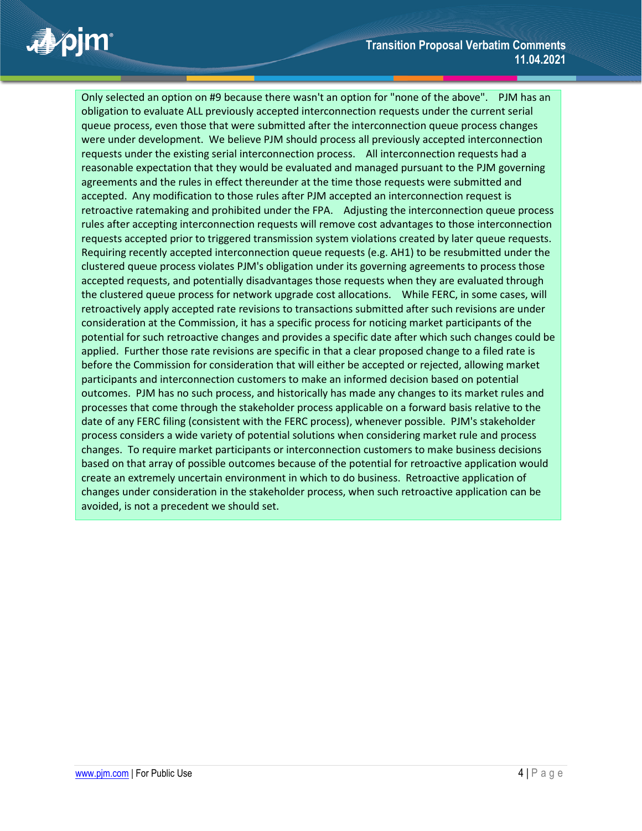Only selected an option on #9 because there wasn't an option for "none of the above". PJM has an obligation to evaluate ALL previously accepted interconnection requests under the current serial queue process, even those that were submitted after the interconnection queue process changes were under development. We believe PJM should process all previously accepted interconnection requests under the existing serial interconnection process. All interconnection requests had a reasonable expectation that they would be evaluated and managed pursuant to the PJM governing agreements and the rules in effect thereunder at the time those requests were submitted and accepted. Any modification to those rules after PJM accepted an interconnection request is retroactive ratemaking and prohibited under the FPA. Adjusting the interconnection queue process rules after accepting interconnection requests will remove cost advantages to those interconnection requests accepted prior to triggered transmission system violations created by later queue requests. Requiring recently accepted interconnection queue requests (e.g. AH1) to be resubmitted under the clustered queue process violates PJM's obligation under its governing agreements to process those accepted requests, and potentially disadvantages those requests when they are evaluated through the clustered queue process for network upgrade cost allocations. While FERC, in some cases, will retroactively apply accepted rate revisions to transactions submitted after such revisions are under consideration at the Commission, it has a specific process for noticing market participants of the potential for such retroactive changes and provides a specific date after which such changes could be applied. Further those rate revisions are specific in that a clear proposed change to a filed rate is before the Commission for consideration that will either be accepted or rejected, allowing market participants and interconnection customers to make an informed decision based on potential outcomes. PJM has no such process, and historically has made any changes to its market rules and processes that come through the stakeholder process applicable on a forward basis relative to the date of any FERC filing (consistent with the FERC process), whenever possible. PJM's stakeholder process considers a wide variety of potential solutions when considering market rule and process changes. To require market participants or interconnection customers to make business decisions based on that array of possible outcomes because of the potential for retroactive application would create an extremely uncertain environment in which to do business. Retroactive application of changes under consideration in the stakeholder process, when such retroactive application can be avoided, is not a precedent we should set.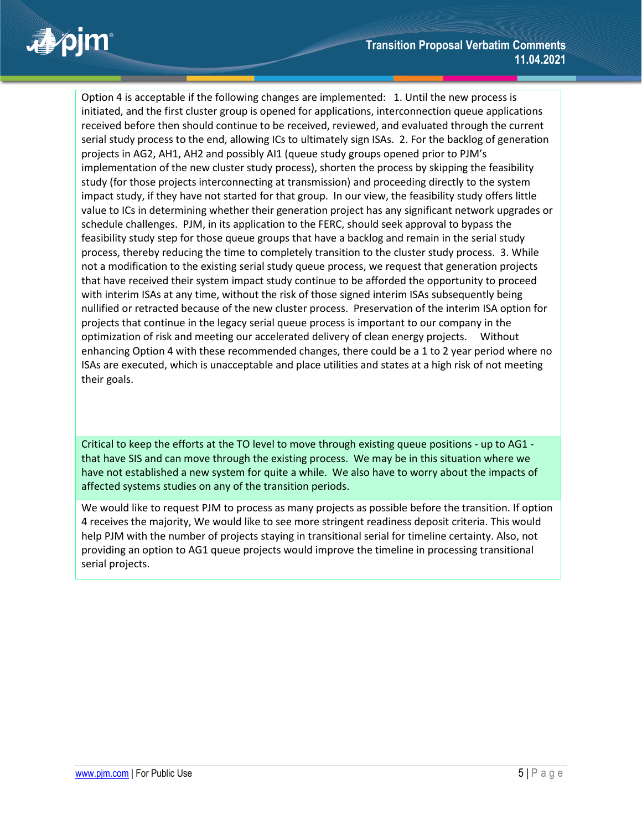Option 4 is acceptable if the following changes are implemented: 1. Until the new process is initiated, and the first cluster group is opened for applications, interconnection queue applications received before then should continue to be received, reviewed, and evaluated through the current serial study process to the end, allowing ICs to ultimately sign ISAs. 2. For the backlog of generation projects in AG2, AH1, AH2 and possibly AI1 (queue study groups opened prior to PJM's implementation of the new cluster study process), shorten the process by skipping the feasibility study (for those projects interconnecting at transmission) and proceeding directly to the system impact study, if they have not started for that group. In our view, the feasibility study offers little value to ICs in determining whether their generation project has any significant network upgrades or schedule challenges. PJM, in its application to the FERC, should seek approval to bypass the feasibility study step for those queue groups that have a backlog and remain in the serial study process, thereby reducing the time to completely transition to the cluster study process. 3. While not a modification to the existing serial study queue process, we request that generation projects that have received their system impact study continue to be afforded the opportunity to proceed with interim ISAs at any time, without the risk of those signed interim ISAs subsequently being nullified or retracted because of the new cluster process. Preservation of the interim ISA option for projects that continue in the legacy serial queue process is important to our company in the optimization of risk and meeting our accelerated delivery of clean energy projects. Without enhancing Option 4 with these recommended changes, there could be a 1 to 2 year period where no ISAs are executed, which is unacceptable and place utilities and states at a high risk of not meeting their goals.

Critical to keep the efforts at the TO level to move through existing queue positions - up to AG1 that have SIS and can move through the existing process. We may be in this situation where we have not established a new system for quite a while. We also have to worry about the impacts of affected systems studies on any of the transition periods.

We would like to request PJM to process as many projects as possible before the transition. If option 4 receives the majority, We would like to see more stringent readiness deposit criteria. This would help PJM with the number of projects staying in transitional serial for timeline certainty. Also, not providing an option to AG1 queue projects would improve the timeline in processing transitional serial projects.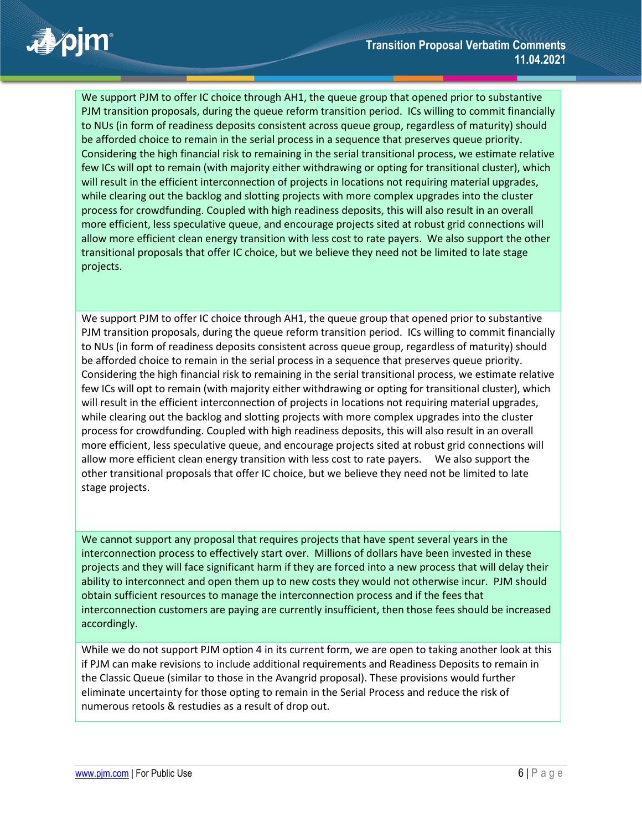### **Transition Proposal Verbatim Comments 11.04.2021**

■ pim

We support PJM to offer IC choice through AH1, the queue group that opened prior to substantive PJM transition proposals, during the queue reform transition period. ICs willing to commit financially to NUs (in form of readiness deposits consistent across queue group, regardless of maturity) should be afforded choice to remain in the serial process in a sequence that preserves queue priority. Considering the high financial risk to remaining in the serial transitional process, we estimate relative few ICs will opt to remain (with majority either withdrawing or opting for transitional cluster), which will result in the efficient interconnection of projects in locations not requiring material upgrades, while clearing out the backlog and slotting projects with more complex upgrades into the cluster process for crowdfunding. Coupled with high readiness deposits, this will also result in an overall more efficient, less speculative queue, and encourage projects sited at robust grid connections will allow more efficient clean energy transition with less cost to rate payers. We also support the other transitional proposals that offer IC choice, but we believe they need not be limited to late stage projects.

We support PJM to offer IC choice through AH1, the queue group that opened prior to substantive PJM transition proposals, during the queue reform transition period. ICs willing to commit financially to NUs (in form of readiness deposits consistent across queue group, regardless of maturity) should be afforded choice to remain in the serial process in a sequence that preserves queue priority. Considering the high financial risk to remaining in the serial transitional process, we estimate relative few ICs will opt to remain (with majority either withdrawing or opting for transitional cluster), which will result in the efficient interconnection of projects in locations not requiring material upgrades, while clearing out the backlog and slotting projects with more complex upgrades into the cluster process for crowdfunding. Coupled with high readiness deposits, this will also result in an overall more efficient, less speculative queue, and encourage projects sited at robust grid connections will allow more efficient clean energy transition with less cost to rate payers. We also support the other transitional proposals that offer IC choice, but we believe they need not be limited to late stage projects.

We cannot support any proposal that requires projects that have spent several years in the interconnection process to effectively start over. Millions of dollars have been invested in these projects and they will face significant harm if they are forced into a new process that will delay their ability to interconnect and open them up to new costs they would not otherwise incur. PJM should obtain sufficient resources to manage the interconnection process and if the fees that interconnection customers are paying are currently insufficient, then those fees should be increased accordingly.

While we do not support PJM option 4 in its current form, we are open to taking another look at this if PJM can make revisions to include additional requirements and Readiness Deposits to remain in the Classic Queue (similar to those in the Avangrid proposal). These provisions would further eliminate uncertainty for those opting to remain in the Serial Process and reduce the risk of numerous retools & restudies as a result of drop out.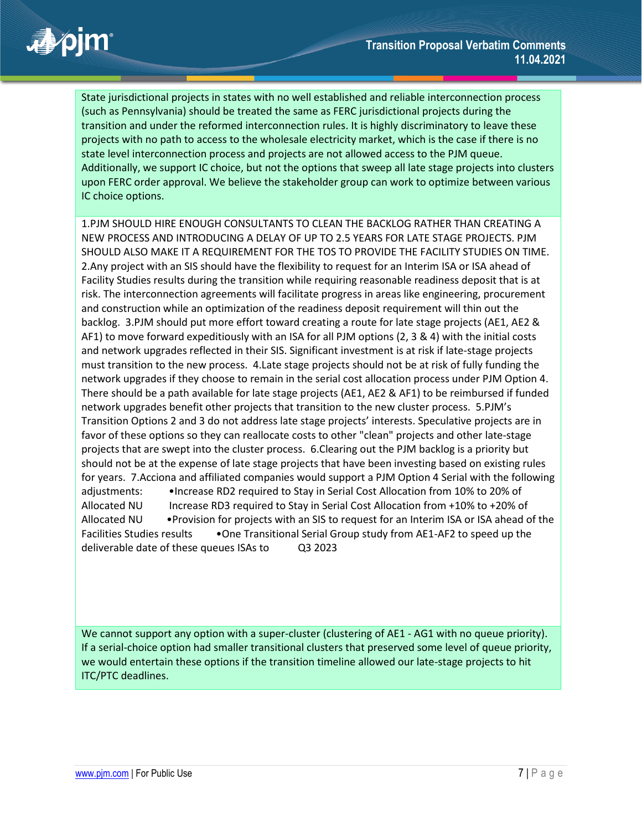# apjm

State jurisdictional projects in states with no well established and reliable interconnection process (such as Pennsylvania) should be treated the same as FERC jurisdictional projects during the transition and under the reformed interconnection rules. It is highly discriminatory to leave these projects with no path to access to the wholesale electricity market, which is the case if there is no state level interconnection process and projects are not allowed access to the PJM queue. Additionally, we support IC choice, but not the options that sweep all late stage projects into clusters upon FERC order approval. We believe the stakeholder group can work to optimize between various IC choice options.

1.PJM SHOULD HIRE ENOUGH CONSULTANTS TO CLEAN THE BACKLOG RATHER THAN CREATING A NEW PROCESS AND INTRODUCING A DELAY OF UP TO 2.5 YEARS FOR LATE STAGE PROJECTS. PJM SHOULD ALSO MAKE IT A REQUIREMENT FOR THE TOS TO PROVIDE THE FACILITY STUDIES ON TIME. 2.Any project with an SIS should have the flexibility to request for an Interim ISA or ISA ahead of Facility Studies results during the transition while requiring reasonable readiness deposit that is at risk. The interconnection agreements will facilitate progress in areas like engineering, procurement and construction while an optimization of the readiness deposit requirement will thin out the backlog. 3.PJM should put more effort toward creating a route for late stage projects (AE1, AE2 & AF1) to move forward expeditiously with an ISA for all PJM options (2, 3 & 4) with the initial costs and network upgrades reflected in their SIS. Significant investment is at risk if late-stage projects must transition to the new process. 4.Late stage projects should not be at risk of fully funding the network upgrades if they choose to remain in the serial cost allocation process under PJM Option 4. There should be a path available for late stage projects (AE1, AE2 & AF1) to be reimbursed if funded network upgrades benefit other projects that transition to the new cluster process. 5.PJM's Transition Options 2 and 3 do not address late stage projects' interests. Speculative projects are in favor of these options so they can reallocate costs to other "clean" projects and other late-stage projects that are swept into the cluster process. 6.Clearing out the PJM backlog is a priority but should not be at the expense of late stage projects that have been investing based on existing rules for years. 7.Acciona and affiliated companies would support a PJM Option 4 Serial with the following adjustments: •Increase RD2 required to Stay in Serial Cost Allocation from 10% to 20% of Allocated NU Increase RD3 required to Stay in Serial Cost Allocation from +10% to +20% of Allocated NU •Provision for projects with an SIS to request for an Interim ISA or ISA ahead of the Facilities Studies results •One Transitional Serial Group study from AE1-AF2 to speed up the deliverable date of these queues ISAs to Q3 2023

We cannot support any option with a super-cluster (clustering of AE1 - AG1 with no queue priority). If a serial-choice option had smaller transitional clusters that preserved some level of queue priority, we would entertain these options if the transition timeline allowed our late-stage projects to hit ITC/PTC deadlines.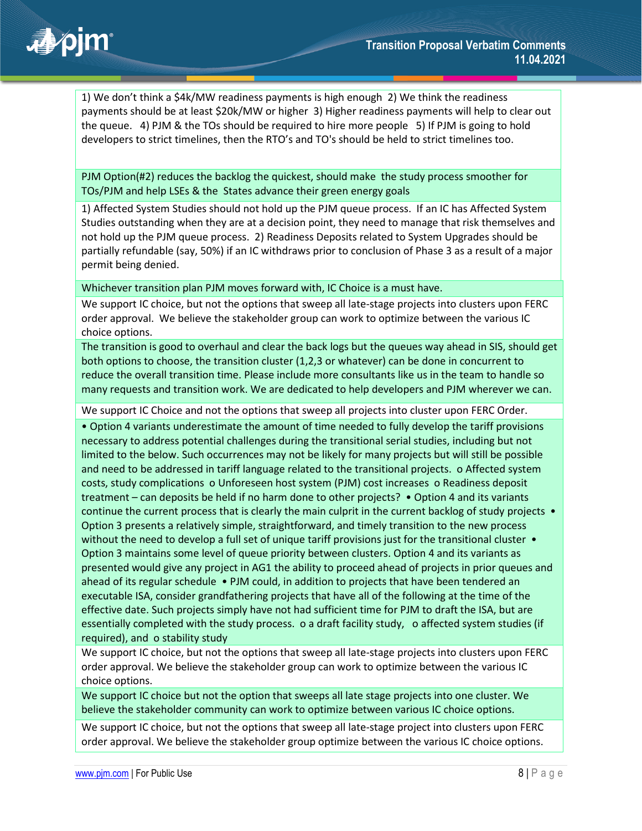

1) We don't think a \$4k/MW readiness payments is high enough 2) We think the readiness payments should be at least \$20k/MW or higher 3) Higher readiness payments will help to clear out the queue. 4) PJM & the TOs should be required to hire more people 5) If PJM is going to hold developers to strict timelines, then the RTO's and TO's should be held to strict timelines too.

PJM Option(#2) reduces the backlog the quickest, should make the study process smoother for TOs/PJM and help LSEs & the States advance their green energy goals

1) Affected System Studies should not hold up the PJM queue process. If an IC has Affected System Studies outstanding when they are at a decision point, they need to manage that risk themselves and not hold up the PJM queue process. 2) Readiness Deposits related to System Upgrades should be partially refundable (say, 50%) if an IC withdraws prior to conclusion of Phase 3 as a result of a major permit being denied.

Whichever transition plan PJM moves forward with, IC Choice is a must have.

We support IC choice, but not the options that sweep all late-stage projects into clusters upon FERC order approval. We believe the stakeholder group can work to optimize between the various IC choice options.

The transition is good to overhaul and clear the back logs but the queues way ahead in SIS, should get both options to choose, the transition cluster (1,2,3 or whatever) can be done in concurrent to reduce the overall transition time. Please include more consultants like us in the team to handle so many requests and transition work. We are dedicated to help developers and PJM wherever we can.

We support IC Choice and not the options that sweep all projects into cluster upon FERC Order.

• Option 4 variants underestimate the amount of time needed to fully develop the tariff provisions necessary to address potential challenges during the transitional serial studies, including but not limited to the below. Such occurrences may not be likely for many projects but will still be possible and need to be addressed in tariff language related to the transitional projects. o Affected system costs, study complications o Unforeseen host system (PJM) cost increases o Readiness deposit treatment – can deposits be held if no harm done to other projects? • Option 4 and its variants continue the current process that is clearly the main culprit in the current backlog of study projects • Option 3 presents a relatively simple, straightforward, and timely transition to the new process without the need to develop a full set of unique tariff provisions just for the transitional cluster  $\bullet$ Option 3 maintains some level of queue priority between clusters. Option 4 and its variants as presented would give any project in AG1 the ability to proceed ahead of projects in prior queues and ahead of its regular schedule • PJM could, in addition to projects that have been tendered an executable ISA, consider grandfathering projects that have all of the following at the time of the effective date. Such projects simply have not had sufficient time for PJM to draft the ISA, but are essentially completed with the study process. o a draft facility study, o affected system studies (if required), and o stability study

We support IC choice, but not the options that sweep all late-stage projects into clusters upon FERC order approval. We believe the stakeholder group can work to optimize between the various IC choice options.

We support IC choice but not the option that sweeps all late stage projects into one cluster. We believe the stakeholder community can work to optimize between various IC choice options.

We support IC choice, but not the options that sweep all late-stage project into clusters upon FERC order approval. We believe the stakeholder group optimize between the various IC choice options.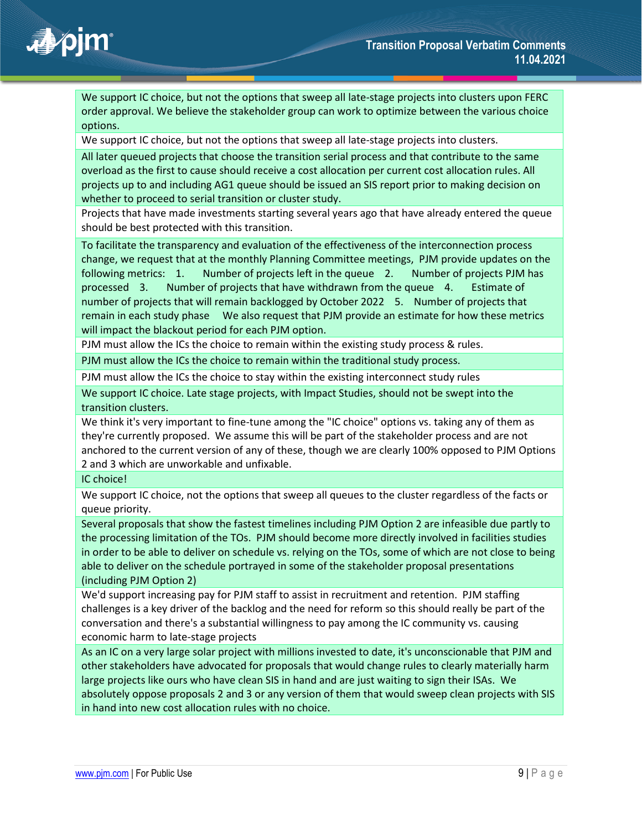# **不可**

We support IC choice, but not the options that sweep all late-stage projects into clusters upon FERC order approval. We believe the stakeholder group can work to optimize between the various choice options.

We support IC choice, but not the options that sweep all late-stage projects into clusters.

All later queued projects that choose the transition serial process and that contribute to the same overload as the first to cause should receive a cost allocation per current cost allocation rules. All projects up to and including AG1 queue should be issued an SIS report prior to making decision on whether to proceed to serial transition or cluster study.

Projects that have made investments starting several years ago that have already entered the queue should be best protected with this transition.

To facilitate the transparency and evaluation of the effectiveness of the interconnection process change, we request that at the monthly Planning Committee meetings, PJM provide updates on the following metrics: 1. Number of projects left in the queue 2. Number of projects PJM has processed 3. Number of projects that have withdrawn from the queue 4. Estimate of number of projects that will remain backlogged by October 2022 5. Number of projects that remain in each study phase We also request that PJM provide an estimate for how these metrics will impact the blackout period for each PJM option.

PJM must allow the ICs the choice to remain within the existing study process & rules. PJM must allow the ICs the choice to remain within the traditional study process.

PJM must allow the ICs the choice to stay within the existing interconnect study rules

We support IC choice. Late stage projects, with Impact Studies, should not be swept into the transition clusters.

We think it's very important to fine-tune among the "IC choice" options vs. taking any of them as they're currently proposed. We assume this will be part of the stakeholder process and are not anchored to the current version of any of these, though we are clearly 100% opposed to PJM Options 2 and 3 which are unworkable and unfixable.

#### IC choice!

We support IC choice, not the options that sweep all queues to the cluster regardless of the facts or queue priority.

Several proposals that show the fastest timelines including PJM Option 2 are infeasible due partly to the processing limitation of the TOs. PJM should become more directly involved in facilities studies in order to be able to deliver on schedule vs. relying on the TOs, some of which are not close to being able to deliver on the schedule portrayed in some of the stakeholder proposal presentations (including PJM Option 2)

We'd support increasing pay for PJM staff to assist in recruitment and retention. PJM staffing challenges is a key driver of the backlog and the need for reform so this should really be part of the conversation and there's a substantial willingness to pay among the IC community vs. causing economic harm to late-stage projects

As an IC on a very large solar project with millions invested to date, it's unconscionable that PJM and other stakeholders have advocated for proposals that would change rules to clearly materially harm large projects like ours who have clean SIS in hand and are just waiting to sign their ISAs. We absolutely oppose proposals 2 and 3 or any version of them that would sweep clean projects with SIS in hand into new cost allocation rules with no choice.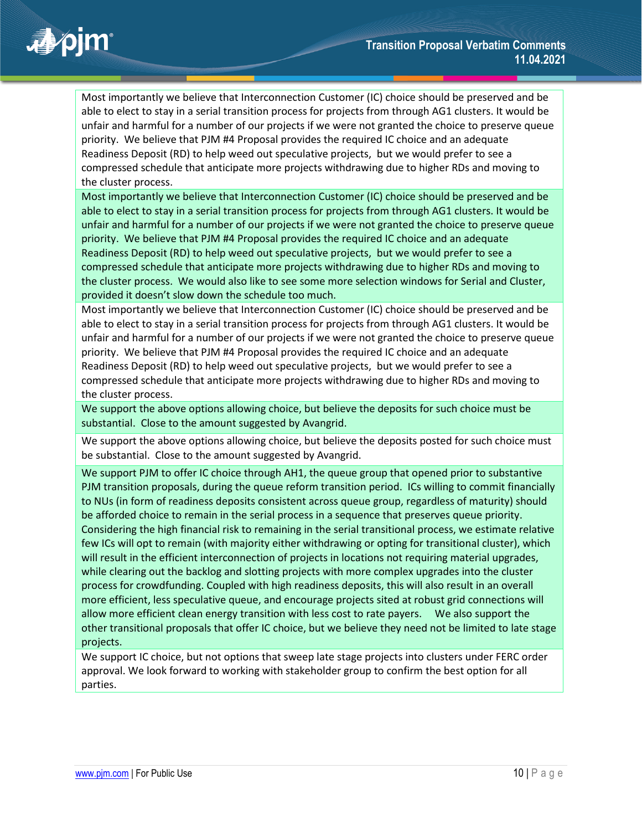Most importantly we believe that Interconnection Customer (IC) choice should be preserved and be able to elect to stay in a serial transition process for projects from through AG1 clusters. It would be unfair and harmful for a number of our projects if we were not granted the choice to preserve queue priority. We believe that PJM #4 Proposal provides the required IC choice and an adequate Readiness Deposit (RD) to help weed out speculative projects, but we would prefer to see a compressed schedule that anticipate more projects withdrawing due to higher RDs and moving to the cluster process.

Most importantly we believe that Interconnection Customer (IC) choice should be preserved and be able to elect to stay in a serial transition process for projects from through AG1 clusters. It would be unfair and harmful for a number of our projects if we were not granted the choice to preserve queue priority. We believe that PJM #4 Proposal provides the required IC choice and an adequate Readiness Deposit (RD) to help weed out speculative projects, but we would prefer to see a compressed schedule that anticipate more projects withdrawing due to higher RDs and moving to the cluster process. We would also like to see some more selection windows for Serial and Cluster, provided it doesn't slow down the schedule too much.

Most importantly we believe that Interconnection Customer (IC) choice should be preserved and be able to elect to stay in a serial transition process for projects from through AG1 clusters. It would be unfair and harmful for a number of our projects if we were not granted the choice to preserve queue priority. We believe that PJM #4 Proposal provides the required IC choice and an adequate Readiness Deposit (RD) to help weed out speculative projects, but we would prefer to see a compressed schedule that anticipate more projects withdrawing due to higher RDs and moving to the cluster process.

We support the above options allowing choice, but believe the deposits for such choice must be substantial. Close to the amount suggested by Avangrid.

We support the above options allowing choice, but believe the deposits posted for such choice must be substantial. Close to the amount suggested by Avangrid.

We support PJM to offer IC choice through AH1, the queue group that opened prior to substantive PJM transition proposals, during the queue reform transition period. ICs willing to commit financially to NUs (in form of readiness deposits consistent across queue group, regardless of maturity) should be afforded choice to remain in the serial process in a sequence that preserves queue priority. Considering the high financial risk to remaining in the serial transitional process, we estimate relative few ICs will opt to remain (with majority either withdrawing or opting for transitional cluster), which will result in the efficient interconnection of projects in locations not requiring material upgrades, while clearing out the backlog and slotting projects with more complex upgrades into the cluster process for crowdfunding. Coupled with high readiness deposits, this will also result in an overall more efficient, less speculative queue, and encourage projects sited at robust grid connections will allow more efficient clean energy transition with less cost to rate payers. We also support the other transitional proposals that offer IC choice, but we believe they need not be limited to late stage projects.

We support IC choice, but not options that sweep late stage projects into clusters under FERC order approval. We look forward to working with stakeholder group to confirm the best option for all parties.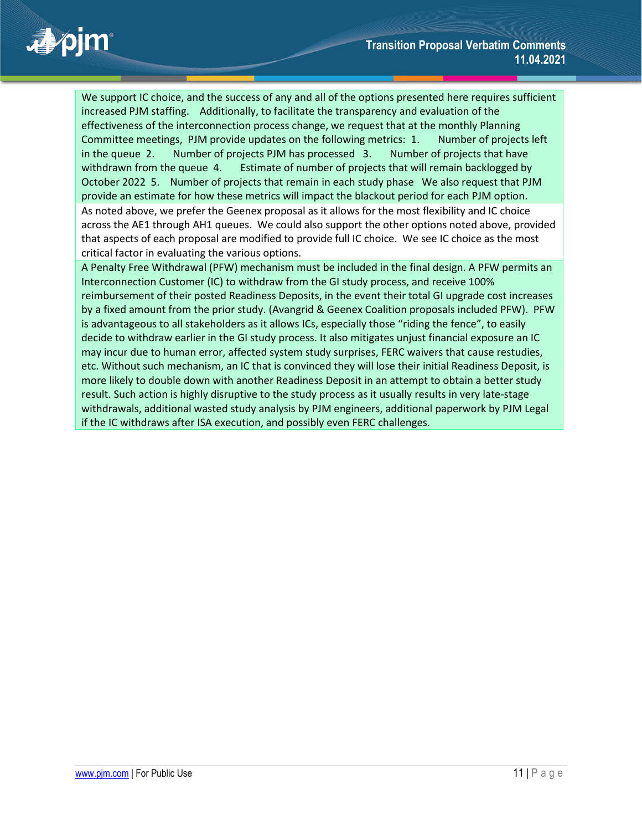

We support IC choice, and the success of any and all of the options presented here requires sufficient increased PJM staffing. Additionally, to facilitate the transparency and evaluation of the effectiveness of the interconnection process change, we request that at the monthly Planning Committee meetings, PJM provide updates on the following metrics: 1. Number of projects left in the queue 2. Number of projects PJM has processed 3. Number of projects that have withdrawn from the queue 4. Estimate of number of projects that will remain backlogged by October 2022 5. Number of projects that remain in each study phase We also request that PJM provide an estimate for how these metrics will impact the blackout period for each PJM option. As noted above, we prefer the Geenex proposal as it allows for the most flexibility and IC choice across the AE1 through AH1 queues. We could also support the other options noted above, provided that aspects of each proposal are modified to provide full IC choice. We see IC choice as the most critical factor in evaluating the various options.

A Penalty Free Withdrawal (PFW) mechanism must be included in the final design. A PFW permits an Interconnection Customer (IC) to withdraw from the GI study process, and receive 100% reimbursement of their posted Readiness Deposits, in the event their total GI upgrade cost increases by a fixed amount from the prior study. (Avangrid & Geenex Coalition proposals included PFW). PFW is advantageous to all stakeholders as it allows ICs, especially those "riding the fence", to easily decide to withdraw earlier in the GI study process. It also mitigates unjust financial exposure an IC may incur due to human error, affected system study surprises, FERC waivers that cause restudies, etc. Without such mechanism, an IC that is convinced they will lose their initial Readiness Deposit, is more likely to double down with another Readiness Deposit in an attempt to obtain a better study result. Such action is highly disruptive to the study process as it usually results in very late-stage withdrawals, additional wasted study analysis by PJM engineers, additional paperwork by PJM Legal if the IC withdraws after ISA execution, and possibly even FERC challenges.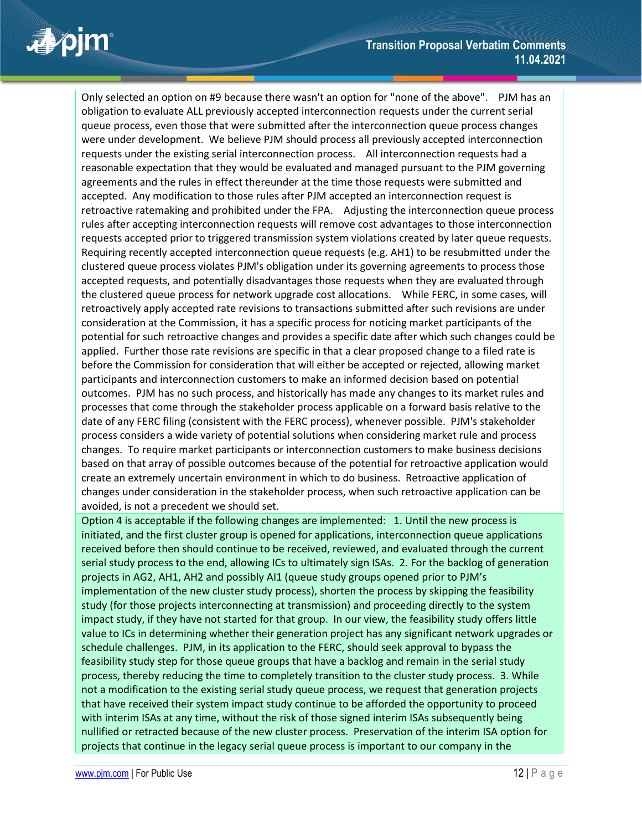Only selected an option on #9 because there wasn't an option for "none of the above". PJM has an obligation to evaluate ALL previously accepted interconnection requests under the current serial queue process, even those that were submitted after the interconnection queue process changes were under development. We believe PJM should process all previously accepted interconnection requests under the existing serial interconnection process. All interconnection requests had a reasonable expectation that they would be evaluated and managed pursuant to the PJM governing agreements and the rules in effect thereunder at the time those requests were submitted and accepted. Any modification to those rules after PJM accepted an interconnection request is retroactive ratemaking and prohibited under the FPA. Adjusting the interconnection queue process rules after accepting interconnection requests will remove cost advantages to those interconnection requests accepted prior to triggered transmission system violations created by later queue requests. Requiring recently accepted interconnection queue requests (e.g. AH1) to be resubmitted under the clustered queue process violates PJM's obligation under its governing agreements to process those accepted requests, and potentially disadvantages those requests when they are evaluated through the clustered queue process for network upgrade cost allocations. While FERC, in some cases, will retroactively apply accepted rate revisions to transactions submitted after such revisions are under consideration at the Commission, it has a specific process for noticing market participants of the potential for such retroactive changes and provides a specific date after which such changes could be applied. Further those rate revisions are specific in that a clear proposed change to a filed rate is before the Commission for consideration that will either be accepted or rejected, allowing market participants and interconnection customers to make an informed decision based on potential outcomes. PJM has no such process, and historically has made any changes to its market rules and processes that come through the stakeholder process applicable on a forward basis relative to the date of any FERC filing (consistent with the FERC process), whenever possible. PJM's stakeholder process considers a wide variety of potential solutions when considering market rule and process changes. To require market participants or interconnection customers to make business decisions based on that array of possible outcomes because of the potential for retroactive application would create an extremely uncertain environment in which to do business. Retroactive application of changes under consideration in the stakeholder process, when such retroactive application can be avoided, is not a precedent we should set.

Option 4 is acceptable if the following changes are implemented: 1. Until the new process is initiated, and the first cluster group is opened for applications, interconnection queue applications received before then should continue to be received, reviewed, and evaluated through the current serial study process to the end, allowing ICs to ultimately sign ISAs. 2. For the backlog of generation projects in AG2, AH1, AH2 and possibly AI1 (queue study groups opened prior to PJM's implementation of the new cluster study process), shorten the process by skipping the feasibility study (for those projects interconnecting at transmission) and proceeding directly to the system impact study, if they have not started for that group. In our view, the feasibility study offers little value to ICs in determining whether their generation project has any significant network upgrades or schedule challenges. PJM, in its application to the FERC, should seek approval to bypass the feasibility study step for those queue groups that have a backlog and remain in the serial study process, thereby reducing the time to completely transition to the cluster study process. 3. While not a modification to the existing serial study queue process, we request that generation projects that have received their system impact study continue to be afforded the opportunity to proceed with interim ISAs at any time, without the risk of those signed interim ISAs subsequently being nullified or retracted because of the new cluster process. Preservation of the interim ISA option for projects that continue in the legacy serial queue process is important to our company in the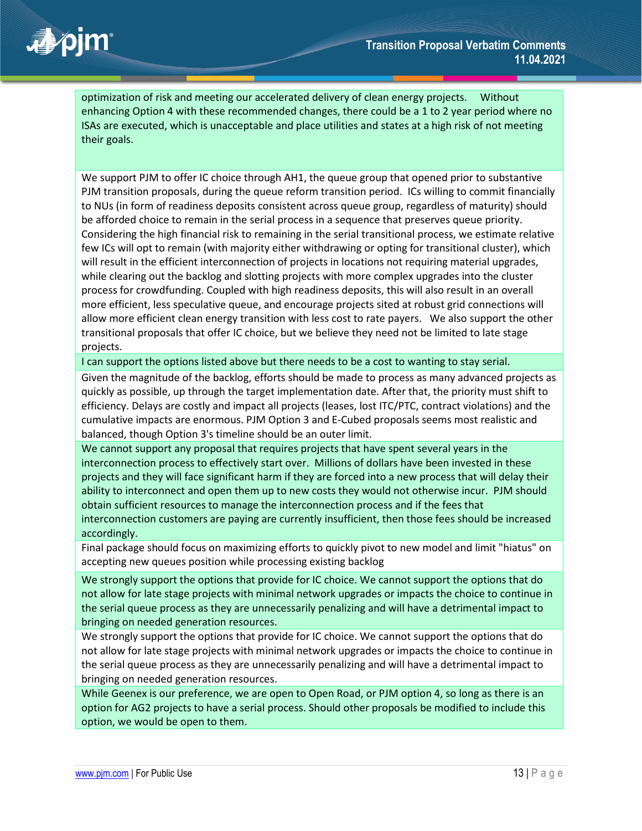optimization of risk and meeting our accelerated delivery of clean energy projects. Without enhancing Option 4 with these recommended changes, there could be a 1 to 2 year period where no ISAs are executed, which is unacceptable and place utilities and states at a high risk of not meeting their goals.

We support PJM to offer IC choice through AH1, the queue group that opened prior to substantive PJM transition proposals, during the queue reform transition period. ICs willing to commit financially to NUs (in form of readiness deposits consistent across queue group, regardless of maturity) should be afforded choice to remain in the serial process in a sequence that preserves queue priority. Considering the high financial risk to remaining in the serial transitional process, we estimate relative few ICs will opt to remain (with majority either withdrawing or opting for transitional cluster), which will result in the efficient interconnection of projects in locations not requiring material upgrades, while clearing out the backlog and slotting projects with more complex upgrades into the cluster process for crowdfunding. Coupled with high readiness deposits, this will also result in an overall more efficient, less speculative queue, and encourage projects sited at robust grid connections will allow more efficient clean energy transition with less cost to rate payers. We also support the other transitional proposals that offer IC choice, but we believe they need not be limited to late stage projects.

I can support the options listed above but there needs to be a cost to wanting to stay serial.

Given the magnitude of the backlog, efforts should be made to process as many advanced projects as quickly as possible, up through the target implementation date. After that, the priority must shift to efficiency. Delays are costly and impact all projects (leases, lost ITC/PTC, contract violations) and the cumulative impacts are enormous. PJM Option 3 and E-Cubed proposals seems most realistic and balanced, though Option 3's timeline should be an outer limit.

We cannot support any proposal that requires projects that have spent several years in the interconnection process to effectively start over. Millions of dollars have been invested in these projects and they will face significant harm if they are forced into a new process that will delay their ability to interconnect and open them up to new costs they would not otherwise incur. PJM should obtain sufficient resources to manage the interconnection process and if the fees that interconnection customers are paying are currently insufficient, then those fees should be increased accordingly.

Final package should focus on maximizing efforts to quickly pivot to new model and limit "hiatus" on accepting new queues position while processing existing backlog

We strongly support the options that provide for IC choice. We cannot support the options that do not allow for late stage projects with minimal network upgrades or impacts the choice to continue in the serial queue process as they are unnecessarily penalizing and will have a detrimental impact to bringing on needed generation resources.

We strongly support the options that provide for IC choice. We cannot support the options that do not allow for late stage projects with minimal network upgrades or impacts the choice to continue in the serial queue process as they are unnecessarily penalizing and will have a detrimental impact to bringing on needed generation resources.

While Geenex is our preference, we are open to Open Road, or PJM option 4, so long as there is an option for AG2 projects to have a serial process. Should other proposals be modified to include this option, we would be open to them.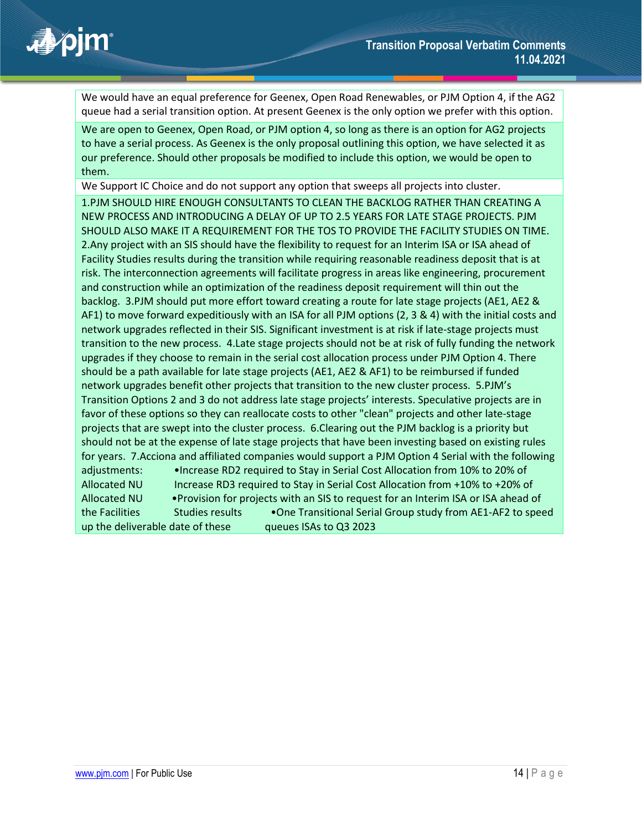

We would have an equal preference for Geenex, Open Road Renewables, or PJM Option 4, if the AG2 queue had a serial transition option. At present Geenex is the only option we prefer with this option.

We are open to Geenex, Open Road, or PJM option 4, so long as there is an option for AG2 projects to have a serial process. As Geenex is the only proposal outlining this option, we have selected it as our preference. Should other proposals be modified to include this option, we would be open to them.

We Support IC Choice and do not support any option that sweeps all projects into cluster.

1.PJM SHOULD HIRE ENOUGH CONSULTANTS TO CLEAN THE BACKLOG RATHER THAN CREATING A NEW PROCESS AND INTRODUCING A DELAY OF UP TO 2.5 YEARS FOR LATE STAGE PROJECTS. PJM SHOULD ALSO MAKE IT A REQUIREMENT FOR THE TOS TO PROVIDE THE FACILITY STUDIES ON TIME. 2.Any project with an SIS should have the flexibility to request for an Interim ISA or ISA ahead of Facility Studies results during the transition while requiring reasonable readiness deposit that is at risk. The interconnection agreements will facilitate progress in areas like engineering, procurement and construction while an optimization of the readiness deposit requirement will thin out the backlog. 3.PJM should put more effort toward creating a route for late stage projects (AE1, AE2 & AF1) to move forward expeditiously with an ISA for all PJM options (2, 3 & 4) with the initial costs and network upgrades reflected in their SIS. Significant investment is at risk if late-stage projects must transition to the new process. 4.Late stage projects should not be at risk of fully funding the network upgrades if they choose to remain in the serial cost allocation process under PJM Option 4. There should be a path available for late stage projects (AE1, AE2 & AF1) to be reimbursed if funded network upgrades benefit other projects that transition to the new cluster process. 5.PJM's Transition Options 2 and 3 do not address late stage projects' interests. Speculative projects are in favor of these options so they can reallocate costs to other "clean" projects and other late-stage projects that are swept into the cluster process. 6.Clearing out the PJM backlog is a priority but should not be at the expense of late stage projects that have been investing based on existing rules for years. 7.Acciona and affiliated companies would support a PJM Option 4 Serial with the following adjustments: •Increase RD2 required to Stay in Serial Cost Allocation from 10% to 20% of Allocated NU Increase RD3 required to Stay in Serial Cost Allocation from +10% to +20% of Allocated NU •Provision for projects with an SIS to request for an Interim ISA or ISA ahead of the Facilities Studies results • One Transitional Serial Group study from AE1-AF2 to speed up the deliverable date of these queues ISAs to Q3 2023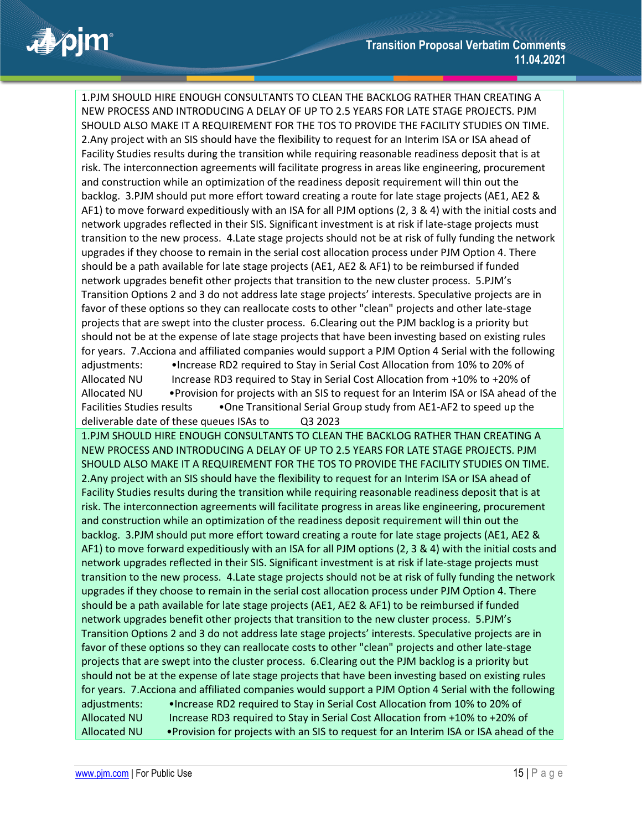1.PJM SHOULD HIRE ENOUGH CONSULTANTS TO CLEAN THE BACKLOG RATHER THAN CREATING A NEW PROCESS AND INTRODUCING A DELAY OF UP TO 2.5 YEARS FOR LATE STAGE PROJECTS. PJM SHOULD ALSO MAKE IT A REQUIREMENT FOR THE TOS TO PROVIDE THE FACILITY STUDIES ON TIME. 2.Any project with an SIS should have the flexibility to request for an Interim ISA or ISA ahead of Facility Studies results during the transition while requiring reasonable readiness deposit that is at risk. The interconnection agreements will facilitate progress in areas like engineering, procurement and construction while an optimization of the readiness deposit requirement will thin out the backlog. 3.PJM should put more effort toward creating a route for late stage projects (AE1, AE2 & AF1) to move forward expeditiously with an ISA for all PJM options (2, 3 & 4) with the initial costs and network upgrades reflected in their SIS. Significant investment is at risk if late-stage projects must transition to the new process. 4.Late stage projects should not be at risk of fully funding the network upgrades if they choose to remain in the serial cost allocation process under PJM Option 4. There should be a path available for late stage projects (AE1, AE2 & AF1) to be reimbursed if funded network upgrades benefit other projects that transition to the new cluster process. 5.PJM's Transition Options 2 and 3 do not address late stage projects' interests. Speculative projects are in favor of these options so they can reallocate costs to other "clean" projects and other late-stage projects that are swept into the cluster process. 6.Clearing out the PJM backlog is a priority but should not be at the expense of late stage projects that have been investing based on existing rules for years. 7.Acciona and affiliated companies would support a PJM Option 4 Serial with the following adjustments: •Increase RD2 required to Stay in Serial Cost Allocation from 10% to 20% of Allocated NU Increase RD3 required to Stay in Serial Cost Allocation from +10% to +20% of Allocated NU •Provision for projects with an SIS to request for an Interim ISA or ISA ahead of the Facilities Studies results •One Transitional Serial Group study from AE1-AF2 to speed up the deliverable date of these queues ISAs to Q3 2023 1.PJM SHOULD HIRE ENOUGH CONSULTANTS TO CLEAN THE BACKLOG RATHER THAN CREATING A NEW PROCESS AND INTRODUCING A DELAY OF UP TO 2.5 YEARS FOR LATE STAGE PROJECTS. PJM SHOULD ALSO MAKE IT A REQUIREMENT FOR THE TOS TO PROVIDE THE FACILITY STUDIES ON TIME. 2.Any project with an SIS should have the flexibility to request for an Interim ISA or ISA ahead of Facility Studies results during the transition while requiring reasonable readiness deposit that is at risk. The interconnection agreements will facilitate progress in areas like engineering, procurement and construction while an optimization of the readiness deposit requirement will thin out the backlog. 3.PJM should put more effort toward creating a route for late stage projects (AE1, AE2 & AF1) to move forward expeditiously with an ISA for all PJM options (2, 3 & 4) with the initial costs and network upgrades reflected in their SIS. Significant investment is at risk if late-stage projects must transition to the new process. 4.Late stage projects should not be at risk of fully funding the network upgrades if they choose to remain in the serial cost allocation process under PJM Option 4. There should be a path available for late stage projects (AE1, AE2 & AF1) to be reimbursed if funded network upgrades benefit other projects that transition to the new cluster process. 5.PJM's Transition Options 2 and 3 do not address late stage projects' interests. Speculative projects are in favor of these options so they can reallocate costs to other "clean" projects and other late-stage projects that are swept into the cluster process. 6.Clearing out the PJM backlog is a priority but should not be at the expense of late stage projects that have been investing based on existing rules for years. 7.Acciona and affiliated companies would support a PJM Option 4 Serial with the following adjustments: •Increase RD2 required to Stay in Serial Cost Allocation from 10% to 20% of Allocated NU Increase RD3 required to Stay in Serial Cost Allocation from +10% to +20% of Allocated NU •Provision for projects with an SIS to request for an Interim ISA or ISA ahead of the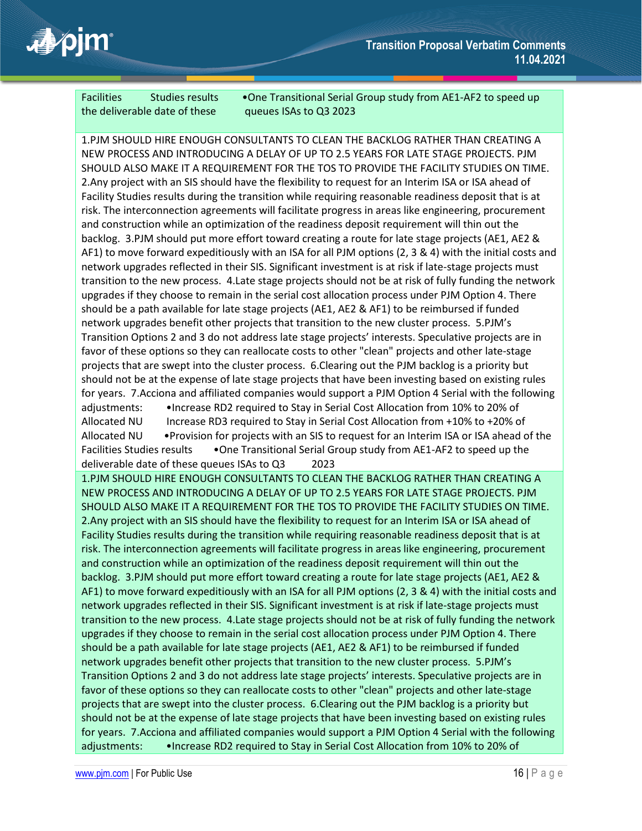

the deliverable date of these queues ISAs to Q3 2023

Facilities Studies results • One Transitional Serial Group study from AE1-AF2 to speed up

1.PJM SHOULD HIRE ENOUGH CONSULTANTS TO CLEAN THE BACKLOG RATHER THAN CREATING A NEW PROCESS AND INTRODUCING A DELAY OF UP TO 2.5 YEARS FOR LATE STAGE PROJECTS. PJM SHOULD ALSO MAKE IT A REQUIREMENT FOR THE TOS TO PROVIDE THE FACILITY STUDIES ON TIME. 2.Any project with an SIS should have the flexibility to request for an Interim ISA or ISA ahead of Facility Studies results during the transition while requiring reasonable readiness deposit that is at risk. The interconnection agreements will facilitate progress in areas like engineering, procurement and construction while an optimization of the readiness deposit requirement will thin out the backlog. 3.PJM should put more effort toward creating a route for late stage projects (AE1, AE2 & AF1) to move forward expeditiously with an ISA for all PJM options (2, 3 & 4) with the initial costs and network upgrades reflected in their SIS. Significant investment is at risk if late-stage projects must transition to the new process. 4.Late stage projects should not be at risk of fully funding the network upgrades if they choose to remain in the serial cost allocation process under PJM Option 4. There should be a path available for late stage projects (AE1, AE2 & AF1) to be reimbursed if funded network upgrades benefit other projects that transition to the new cluster process. 5.PJM's Transition Options 2 and 3 do not address late stage projects' interests. Speculative projects are in favor of these options so they can reallocate costs to other "clean" projects and other late-stage projects that are swept into the cluster process. 6.Clearing out the PJM backlog is a priority but should not be at the expense of late stage projects that have been investing based on existing rules for years. 7.Acciona and affiliated companies would support a PJM Option 4 Serial with the following adjustments: •Increase RD2 required to Stay in Serial Cost Allocation from 10% to 20% of Allocated NU Increase RD3 required to Stay in Serial Cost Allocation from +10% to +20% of Allocated NU •Provision for projects with an SIS to request for an Interim ISA or ISA ahead of the Facilities Studies results •One Transitional Serial Group study from AE1-AF2 to speed up the deliverable date of these queues ISAs to Q3 2023 1.PJM SHOULD HIRE ENOUGH CONSULTANTS TO CLEAN THE BACKLOG RATHER THAN CREATING A NEW PROCESS AND INTRODUCING A DELAY OF UP TO 2.5 YEARS FOR LATE STAGE PROJECTS. PJM SHOULD ALSO MAKE IT A REQUIREMENT FOR THE TOS TO PROVIDE THE FACILITY STUDIES ON TIME. 2.Any project with an SIS should have the flexibility to request for an Interim ISA or ISA ahead of Facility Studies results during the transition while requiring reasonable readiness deposit that is at risk. The interconnection agreements will facilitate progress in areas like engineering, procurement and construction while an optimization of the readiness deposit requirement will thin out the backlog. 3.PJM should put more effort toward creating a route for late stage projects (AE1, AE2 & AF1) to move forward expeditiously with an ISA for all PJM options (2, 3 & 4) with the initial costs and network upgrades reflected in their SIS. Significant investment is at risk if late-stage projects must transition to the new process. 4.Late stage projects should not be at risk of fully funding the network upgrades if they choose to remain in the serial cost allocation process under PJM Option 4. There should be a path available for late stage projects (AE1, AE2 & AF1) to be reimbursed if funded network upgrades benefit other projects that transition to the new cluster process. 5.PJM's Transition Options 2 and 3 do not address late stage projects' interests. Speculative projects are in favor of these options so they can reallocate costs to other "clean" projects and other late-stage projects that are swept into the cluster process. 6.Clearing out the PJM backlog is a priority but should not be at the expense of late stage projects that have been investing based on existing rules for years. 7.Acciona and affiliated companies would support a PJM Option 4 Serial with the following adjustments: •Increase RD2 required to Stay in Serial Cost Allocation from 10% to 20% of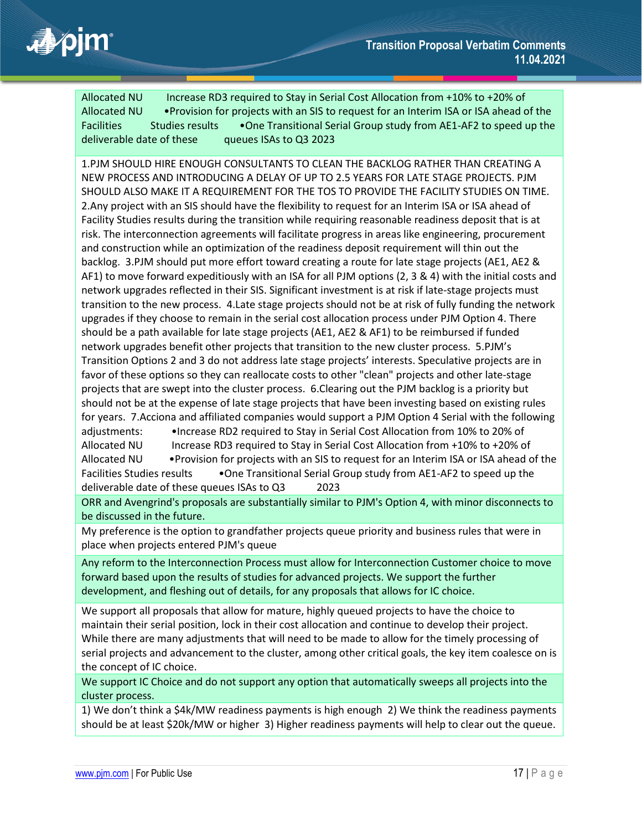

Allocated NU Increase RD3 required to Stay in Serial Cost Allocation from +10% to +20% of Allocated NU •Provision for projects with an SIS to request for an Interim ISA or ISA ahead of the Facilities Studies results • One Transitional Serial Group study from AE1-AF2 to speed up the deliverable date of these queues ISAs to Q3 2023

1.PJM SHOULD HIRE ENOUGH CONSULTANTS TO CLEAN THE BACKLOG RATHER THAN CREATING A NEW PROCESS AND INTRODUCING A DELAY OF UP TO 2.5 YEARS FOR LATE STAGE PROJECTS. PJM SHOULD ALSO MAKE IT A REQUIREMENT FOR THE TOS TO PROVIDE THE FACILITY STUDIES ON TIME. 2.Any project with an SIS should have the flexibility to request for an Interim ISA or ISA ahead of Facility Studies results during the transition while requiring reasonable readiness deposit that is at risk. The interconnection agreements will facilitate progress in areas like engineering, procurement and construction while an optimization of the readiness deposit requirement will thin out the backlog. 3.PJM should put more effort toward creating a route for late stage projects (AE1, AE2 & AF1) to move forward expeditiously with an ISA for all PJM options (2, 3 & 4) with the initial costs and network upgrades reflected in their SIS. Significant investment is at risk if late-stage projects must transition to the new process. 4.Late stage projects should not be at risk of fully funding the network upgrades if they choose to remain in the serial cost allocation process under PJM Option 4. There should be a path available for late stage projects (AE1, AE2 & AF1) to be reimbursed if funded network upgrades benefit other projects that transition to the new cluster process. 5.PJM's Transition Options 2 and 3 do not address late stage projects' interests. Speculative projects are in favor of these options so they can reallocate costs to other "clean" projects and other late-stage projects that are swept into the cluster process. 6.Clearing out the PJM backlog is a priority but should not be at the expense of late stage projects that have been investing based on existing rules for years. 7.Acciona and affiliated companies would support a PJM Option 4 Serial with the following adjustments: •Increase RD2 required to Stay in Serial Cost Allocation from 10% to 20% of Allocated NU Increase RD3 required to Stay in Serial Cost Allocation from +10% to +20% of Allocated NU •Provision for projects with an SIS to request for an Interim ISA or ISA ahead of the Facilities Studies results • One Transitional Serial Group study from AE1-AF2 to speed up the deliverable date of these queues ISAs to Q3 2023

ORR and Avengrind's proposals are substantially similar to PJM's Option 4, with minor disconnects to be discussed in the future.

My preference is the option to grandfather projects queue priority and business rules that were in place when projects entered PJM's queue

Any reform to the Interconnection Process must allow for Interconnection Customer choice to move forward based upon the results of studies for advanced projects. We support the further development, and fleshing out of details, for any proposals that allows for IC choice.

We support all proposals that allow for mature, highly queued projects to have the choice to maintain their serial position, lock in their cost allocation and continue to develop their project. While there are many adjustments that will need to be made to allow for the timely processing of serial projects and advancement to the cluster, among other critical goals, the key item coalesce on is the concept of IC choice.

We support IC Choice and do not support any option that automatically sweeps all projects into the cluster process.

1) We don't think a \$4k/MW readiness payments is high enough 2) We think the readiness payments should be at least \$20k/MW or higher 3) Higher readiness payments will help to clear out the queue.